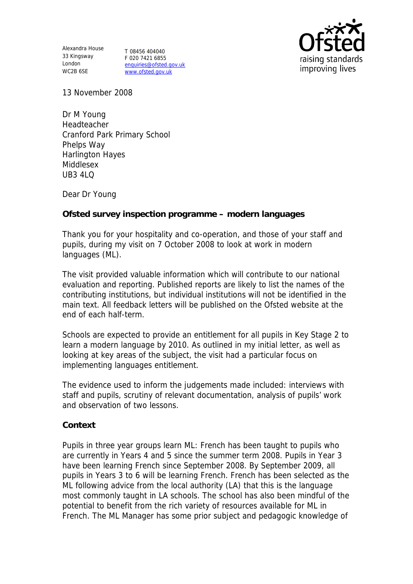Alexandra House 33 Kingsway T 08456 404040 London WC2B 6SE

F 020 7421 6855 enquiries@ofsted.gov.uk www.ofsted.gov.uk



13 November 2008

Dr M Young Headteacher Cranford Park Primary School Phelps Way Harlington Hayes Middlesex  $UB3410$ 

Dear Dr Young

**Ofsted survey inspection programme – modern languages** 

Thank you for your hospitality and co-operation, and those of your staff and pupils, during my visit on 7 October 2008 to look at work in modern languages (ML).

The visit provided valuable information which will contribute to our national evaluation and reporting. Published reports are likely to list the names of the contributing institutions, but individual institutions will not be identified in the main text. All feedback letters will be published on the Ofsted website at the end of each half-term.

Schools are expected to provide an entitlement for all pupils in Key Stage 2 to learn a modern language by 2010. As outlined in my initial letter, as well as looking at key areas of the subject, the visit had a particular focus on implementing languages entitlement.

The evidence used to inform the judgements made included: interviews with staff and pupils, scrutiny of relevant documentation, analysis of pupils' work and observation of two lessons.

**Context**

Pupils in three year groups learn ML: French has been taught to pupils who are currently in Years 4 and 5 since the summer term 2008. Pupils in Year 3 have been learning French since September 2008. By September 2009, all pupils in Years 3 to 6 will be learning French. French has been selected as the ML following advice from the local authority (LA) that this is the language most commonly taught in LA schools. The school has also been mindful of the potential to benefit from the rich variety of resources available for ML in French. The ML Manager has some prior subject and pedagogic knowledge of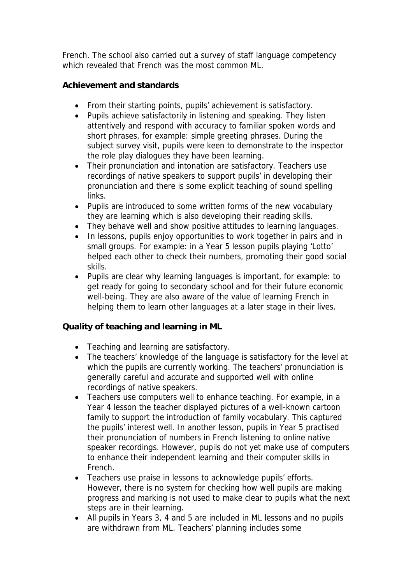French. The school also carried out a survey of staff language competency which revealed that French was the most common ML.

**Achievement and standards** 

- From their starting points, pupils' achievement is satisfactory.
- Pupils achieve satisfactorily in listening and speaking. They listen attentively and respond with accuracy to familiar spoken words and short phrases, for example: simple greeting phrases. During the subject survey visit, pupils were keen to demonstrate to the inspector the role play dialogues they have been learning.
- Their pronunciation and intonation are satisfactory. Teachers use recordings of native speakers to support pupils' in developing their pronunciation and there is some explicit teaching of sound spelling links.
- Pupils are introduced to some written forms of the new vocabulary they are learning which is also developing their reading skills.
- They behave well and show positive attitudes to learning languages.
- In lessons, pupils enjoy opportunities to work together in pairs and in small groups. For example: in a Year 5 lesson pupils playing 'Lotto' helped each other to check their numbers, promoting their good social skills.
- Pupils are clear why learning languages is important, for example: to get ready for going to secondary school and for their future economic well-being. They are also aware of the value of learning French in helping them to learn other languages at a later stage in their lives.

**Quality of teaching and learning in ML**

- Teaching and learning are satisfactory.
- The teachers' knowledge of the language is satisfactory for the level at which the pupils are currently working. The teachers' pronunciation is generally careful and accurate and supported well with online recordings of native speakers.
- Teachers use computers well to enhance teaching. For example, in a Year 4 lesson the teacher displayed pictures of a well-known cartoon family to support the introduction of family vocabulary. This captured the pupils' interest well. In another lesson, pupils in Year 5 practised their pronunciation of numbers in French listening to online native speaker recordings. However, pupils do not yet make use of computers to enhance their independent learning and their computer skills in French.
- Teachers use praise in lessons to acknowledge pupils' efforts. However, there is no system for checking how well pupils are making progress and marking is not used to make clear to pupils what the next steps are in their learning.
- All pupils in Years 3, 4 and 5 are included in ML lessons and no pupils are withdrawn from ML. Teachers' planning includes some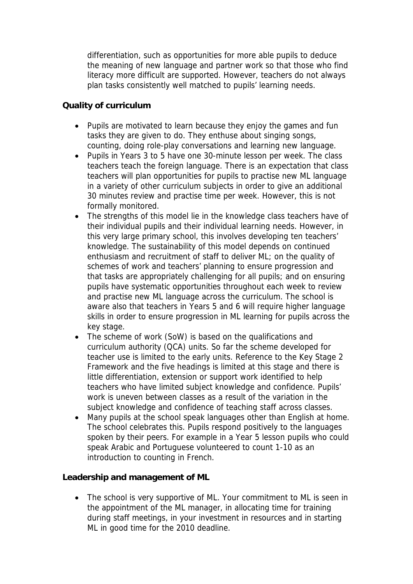differentiation, such as opportunities for more able pupils to deduce the meaning of new language and partner work so that those who find literacy more difficult are supported. However, teachers do not always plan tasks consistently well matched to pupils' learning needs.

## **Quality of curriculum**

- Pupils are motivated to learn because they enjoy the games and fun tasks they are given to do. They enthuse about singing songs, counting, doing role-play conversations and learning new language.
- Pupils in Years 3 to 5 have one 30-minute lesson per week. The class teachers teach the foreign language. There is an expectation that class teachers will plan opportunities for pupils to practise new ML language in a variety of other curriculum subjects in order to give an additional 30 minutes review and practise time per week. However, this is not formally monitored.
- The strengths of this model lie in the knowledge class teachers have of their individual pupils and their individual learning needs. However, in this very large primary school, this involves developing ten teachers' knowledge. The sustainability of this model depends on continued enthusiasm and recruitment of staff to deliver ML; on the quality of schemes of work and teachers' planning to ensure progression and that tasks are appropriately challenging for all pupils; and on ensuring pupils have systematic opportunities throughout each week to review and practise new ML language across the curriculum. The school is aware also that teachers in Years 5 and 6 will require higher language skills in order to ensure progression in ML learning for pupils across the key stage.
- The scheme of work (SoW) is based on the qualifications and curriculum authority (QCA) units. So far the scheme developed for teacher use is limited to the early units. Reference to the Key Stage 2 Framework and the five headings is limited at this stage and there is little differentiation, extension or support work identified to help teachers who have limited subject knowledge and confidence. Pupils' work is uneven between classes as a result of the variation in the subject knowledge and confidence of teaching staff across classes.
- Many pupils at the school speak languages other than English at home. The school celebrates this. Pupils respond positively to the languages spoken by their peers. For example in a Year 5 lesson pupils who could speak Arabic and Portuguese volunteered to count 1-10 as an introduction to counting in French.

**Leadership and management of ML**

• The school is very supportive of ML. Your commitment to ML is seen in the appointment of the ML manager, in allocating time for training during staff meetings, in your investment in resources and in starting ML in good time for the 2010 deadline.